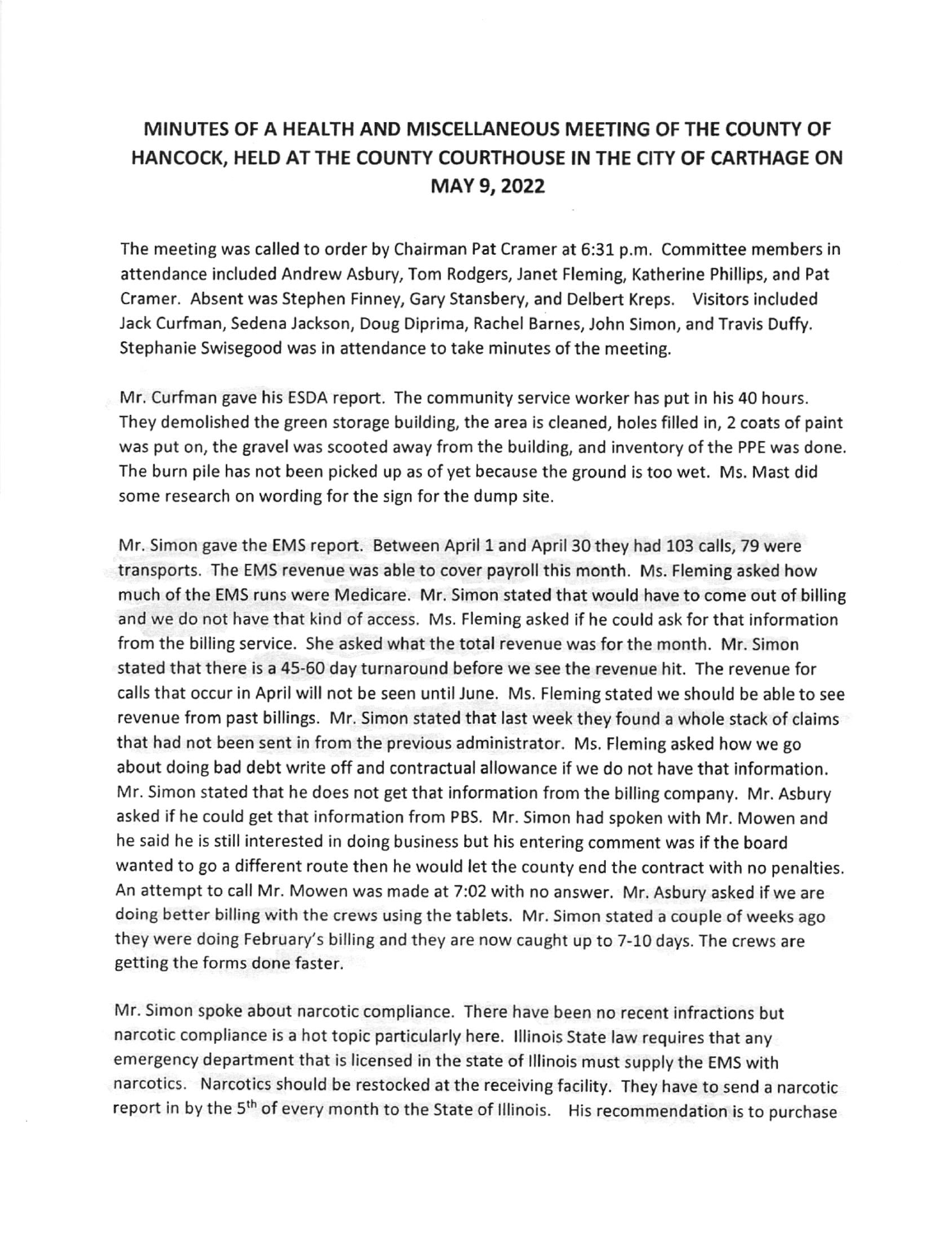## MINUTES OF A HEATTH AND MISCELLANEOUS MEETING OF THE COUNTY OF HANCOCK, HELD ATTHE COUNTY COURTHOUSE IN THE CITY OF CARTHAGE ON MAY 9,2022

The meeting was called to order by Chairman Pat Cramer at 6:31 p.m. Committee members in attendance included Andrew Asbury, Tom Rodgers, Janet Fleming, Katherine Phillips, and Pat Cramer. Absent was Stephen Finney, Gary Stansbery, and Delbert Kreps. Visitors included Jack Curfman, Sedena Jackson, Doug Diprima, Rachel Barnes, John Simon, and Travis Duffy. Stephanie Swisegood was in attendance to take minutes of the meeting.

Mr. Curfman gave his ESDA report. The community service worker has put in his 40 hours. They demolished the green storage building, the area is cleaned, holes filled in, 2 coats of paint was put on, the gravel was scooted away from the building, and inventory of the PPE was done. The burn pile has not been picked up as of yet because the ground is too wet. Ms. Mast did some research on wording for the sign for the dump site.

Mr. Simon gave the EMS report. Between April 1 and April 30 they had 103 calls, 79 were transports. The EMS revenue was able to cover payroll this month. Ms. Fleming asked how much of the EMS runs were Medicare. Mr. Simon stated that would have to come out of billing and we do not have that kind of access. Ms. Fleming asked if he could ask for that information from the billing service. She asked what the total revenue was for the month. Mr. Simon stated that there is a 45-60 day turnaround before we see the revenue hit. The revenue for calls that occur in April will not be seen until June. Ms. Fleming stated we should be able to see revenue from past billings. Mr. Simon stated that last week they found a whole stack of claims that had not been sent in from the previous administrator. Ms. Fleming asked how we go about doing bad debt write off and contractual allowance if we do not have that information. Mr. Simon stated that he does not get that information from the billing company. Mr. Asbury asked if he could get that information from PBS. Mr. Simon had spoken with Mr. Mowen and he said he ls still interested in doing business but his entering comment was if the board wanted to go a different route then he would let the county end the contract with no penalties. An attempt to call Mr. Mowen was made at 7:02 with no answer. Mr. Asbury asked if we are doing better billing with the crews using the tablets. Mr. Simon stated a couple of weeks ago they were doing February's billing and they are now caught up to 7-10 days. The crews are getting the forms done faster.

Mr. Simon spoke about narcotic compliance. There have been no recent infractions but narcotic compliance is a hot topic particularly here. lllinois State law requires that any emergency department that is licensed in the state of lllinois must supply the EMS with narcotics. Narcotics should be restocked at the receiving facility. They have to send a narcotic report in by the 5<sup>th</sup> of every month to the State of Illinois. His recommendation is to purchase